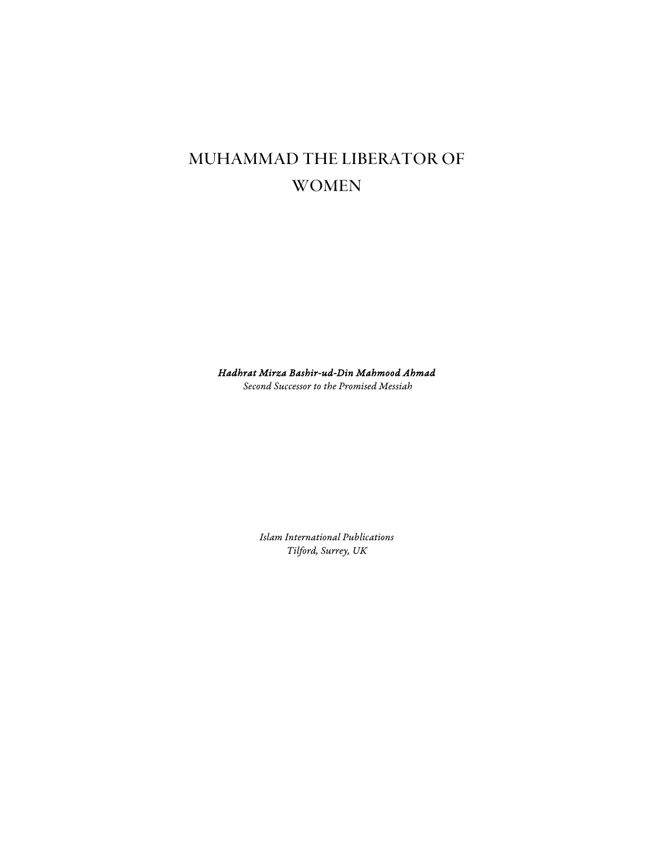# Muhammad the Liberator of **WOMEN**

Hadhrat Mirza Bashir-ud-Din Mahmood Ahmad

Second Successor to the Promised Messiah

Islam International Publications Tilford, Surrey, UK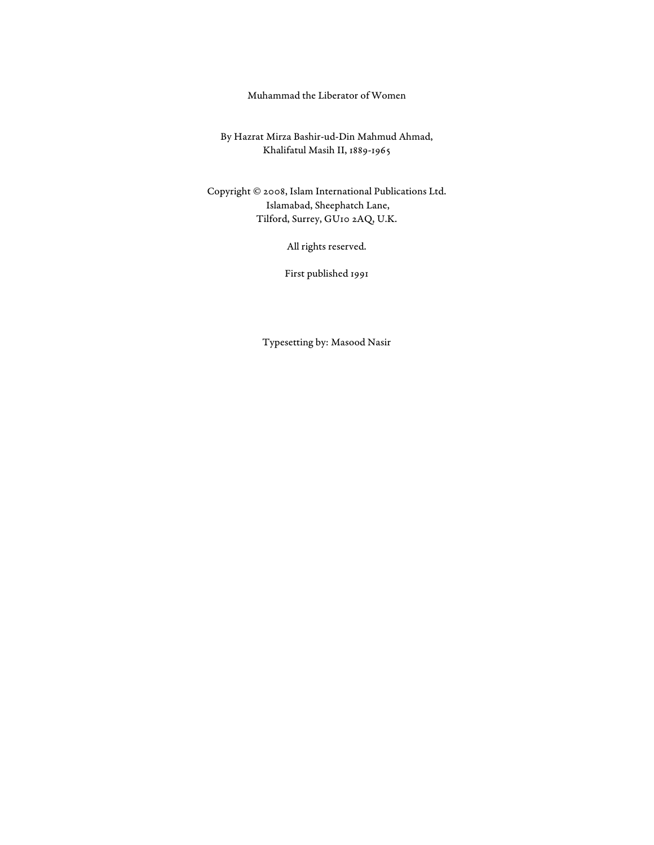### Muhammad the Liberator of Women

By Hazrat Mirza Bashir-ud-Din Mahmud Ahmad, Khalifatul Masih II, 1889-1965

Copyright © 2008, Islam International Publications Ltd. Islamabad, Sheephatch Lane, Tilford, Surrey, GU10 2AQ, U.K.

All rights reserved.

First published 1991

Typesetting by: Masood Nasir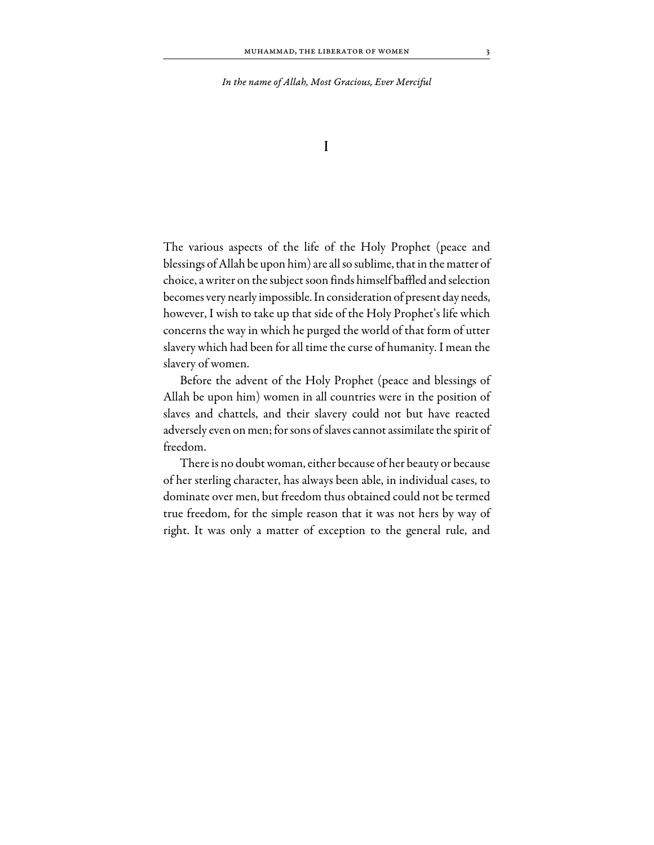In the name of Allah, Most Gracious, Ever Merciful

I

The various aspects of the life of the Holy Prophet (peace and blessings of Allah be upon him) are all so sublime, that in the matter of choice, a writer on the subject soon finds himself baffled and selection becomes very nearly impossible. In consideration of present day needs, however, I wish to take up that side of the Holy Prophet's life which concerns the way in which he purged the world of that form of utter slavery which had been for all time the curse of humanity. I mean the slavery of women.

Before the advent of the Holy Prophet (peace and blessings of Allah be upon him) women in all countries were in the position of slaves and chattels, and their slavery could not but have reacted adversely even on men; for sons of slaves cannot assimilate the spirit of freedom.

There is no doubt woman, either because of her beauty or because of her sterling character, has always been able, in individual cases, to dominate over men, but freedom thus obtained could not be termed true freedom, for the simple reason that it was not hers by way of right. It was only a matter of exception to the general rule, and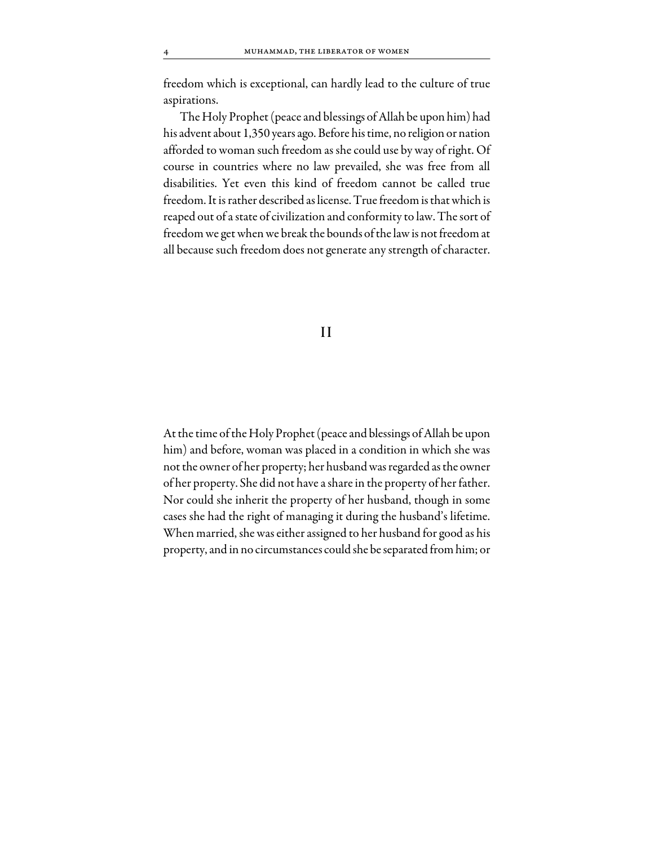freedom which is exceptional, can hardly lead to the culture of true aspirations.

The Holy Prophet (peace and blessings of Allah be upon him) had his advent about 1,350 years ago. Before his time, no religion or nation afforded to woman such freedom as she could use by way of right. Of course in countries where no law prevailed, she was free from all disabilities. Yet even this kind of freedom cannot be called true freedom. It is rather described as license. True freedom is that which is reaped out of a state of civilization and conformity to law. The sort of freedom we get when we break the bounds of the law is not freedom at all because such freedom does not generate any strength of character.

#### II

At the time of the Holy Prophet (peace and blessings of Allah be upon him) and before, woman was placed in a condition in which she was not the owner of her property; her husband was regarded as the owner of her property. She did not have a share in the property of her father. Nor could she inherit the property of her husband, though in some cases she had the right of managing it during the husband's lifetime. When married, she was either assigned to her husband for good as his property, and in no circumstances could she be separated from him; or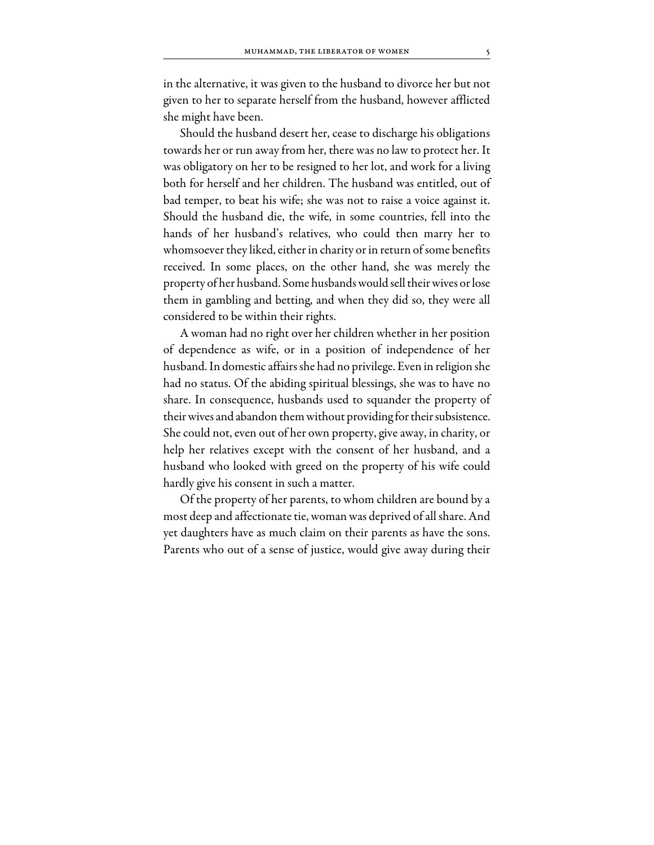in the alternative, it was given to the husband to divorce her but not given to her to separate herself from the husband, however afflicted she might have been.

Should the husband desert her, cease to discharge his obligations towards her or run away from her, there was no law to protect her. It was obligatory on her to be resigned to her lot, and work for a living both for herself and her children. The husband was entitled, out of bad temper, to beat his wife; she was not to raise a voice against it. Should the husband die, the wife, in some countries, fell into the hands of her husband's relatives, who could then marry her to whomsoever they liked, either in charity or in return of some benefits received. In some places, on the other hand, she was merely the property of her husband. Some husbands would sell their wives or lose them in gambling and betting, and when they did so, they were all considered to be within their rights.

A woman had no right over her children whether in her position of dependence as wife, or in a position of independence of her husband. In domestic affairs she had no privilege. Even in religion she had no status. Of the abiding spiritual blessings, she was to have no share. In consequence, husbands used to squander the property of their wives and abandon them without providing for their subsistence. She could not, even out of her own property, give away, in charity, or help her relatives except with the consent of her husband, and a husband who looked with greed on the property of his wife could hardly give his consent in such a matter.

Of the property of her parents, to whom children are bound by a most deep and affectionate tie, woman was deprived of all share. And yet daughters have as much claim on their parents as have the sons. Parents who out of a sense of justice, would give away during their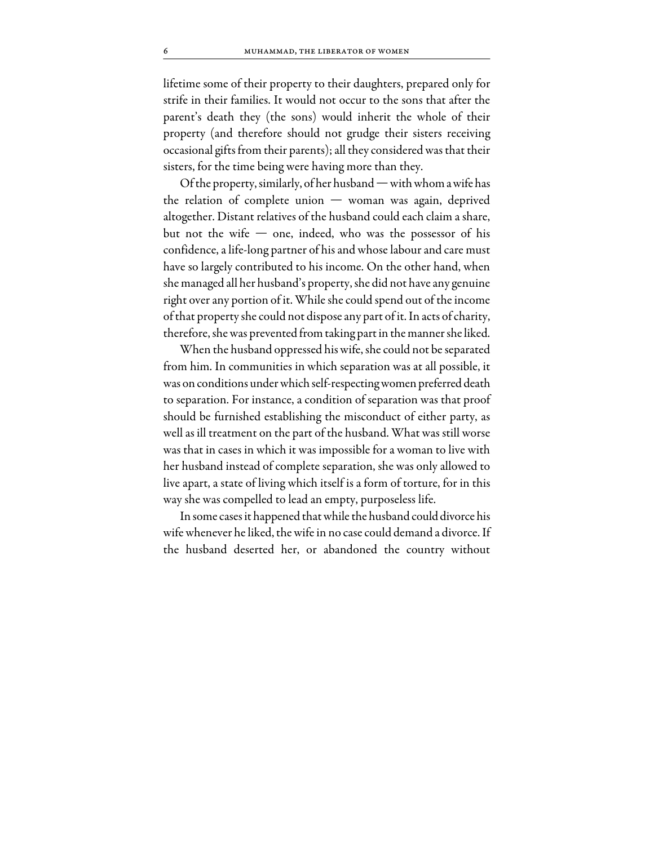lifetime some of their property to their daughters, prepared only for strife in their families. It would not occur to the sons that after the parent's death they (the sons) would inherit the whole of their property (and therefore should not grudge their sisters receiving occasional gifts from their parents); all they considered was that their sisters, for the time being were having more than they.

Of the property, similarly, of her husband — with whom a wife has the relation of complete union — woman was again, deprived altogether. Distant relatives of the husband could each claim a share, but not the wife  $-$  one, indeed, who was the possessor of his confidence, a life-long partner of his and whose labour and care must have so largely contributed to his income. On the other hand, when she managed all her husband's property, she did not have any genuine right over any portion of it. While she could spend out of the income of that property she could not dispose any part of it. In acts of charity, therefore, she was prevented from taking part in the manner she liked.

When the husband oppressed his wife, she could not be separated from him. In communities in which separation was at all possible, it was on conditions under which self-respecting women preferred death to separation. For instance, a condition of separation was that proof should be furnished establishing the misconduct of either party, as well as ill treatment on the part of the husband. What was still worse was that in cases in which it was impossible for a woman to live with her husband instead of complete separation, she was only allowed to live apart, a state of living which itself is a form of torture, for in this way she was compelled to lead an empty, purposeless life.

In some cases it happened that while the husband could divorce his wife whenever he liked, the wife in no case could demand a divorce. If the husband deserted her, or abandoned the country without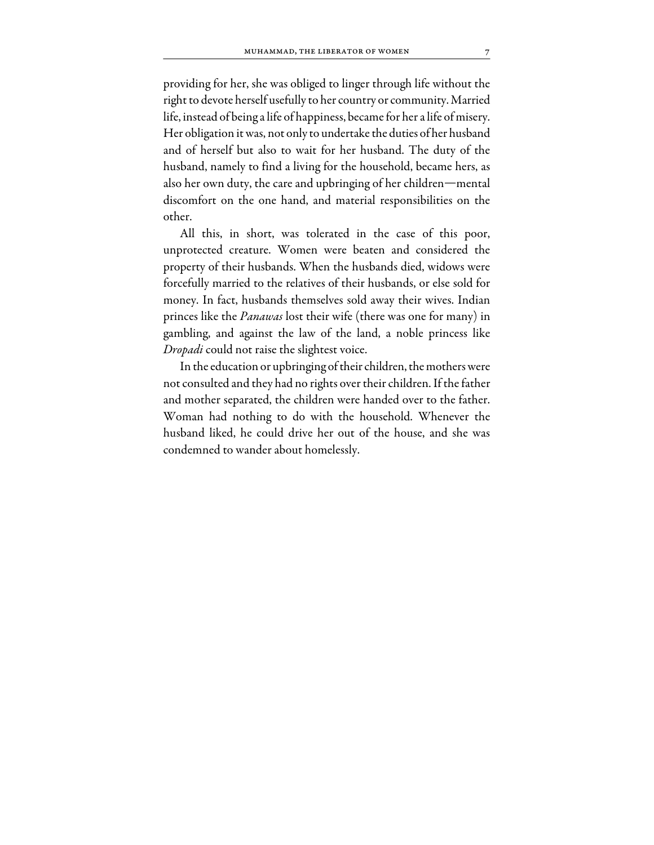providing for her, she was obliged to linger through life without the right to devote herself usefully to her country or community. Married life, instead of being a life of happiness, became for her a life of misery. Her obligation it was, not only to undertake the duties of her husband and of herself but also to wait for her husband. The duty of the husband, namely to find a living for the household, became hers, as also her own duty, the care and upbringing of her children—mental discomfort on the one hand, and material responsibilities on the other.

All this, in short, was tolerated in the case of this poor, unprotected creature. Women were beaten and considered the property of their husbands. When the husbands died, widows were forcefully married to the relatives of their husbands, or else sold for money. In fact, husbands themselves sold away their wives. Indian princes like the *Panawas* lost their wife (there was one for many) in gambling, and against the law of the land, a noble princess like Dropadi could not raise the slightest voice.

In the education or upbringing of their children, the mothers were not consulted and they had no rights over their children. If the father and mother separated, the children were handed over to the father. Woman had nothing to do with the household. Whenever the husband liked, he could drive her out of the house, and she was condemned to wander about homelessly.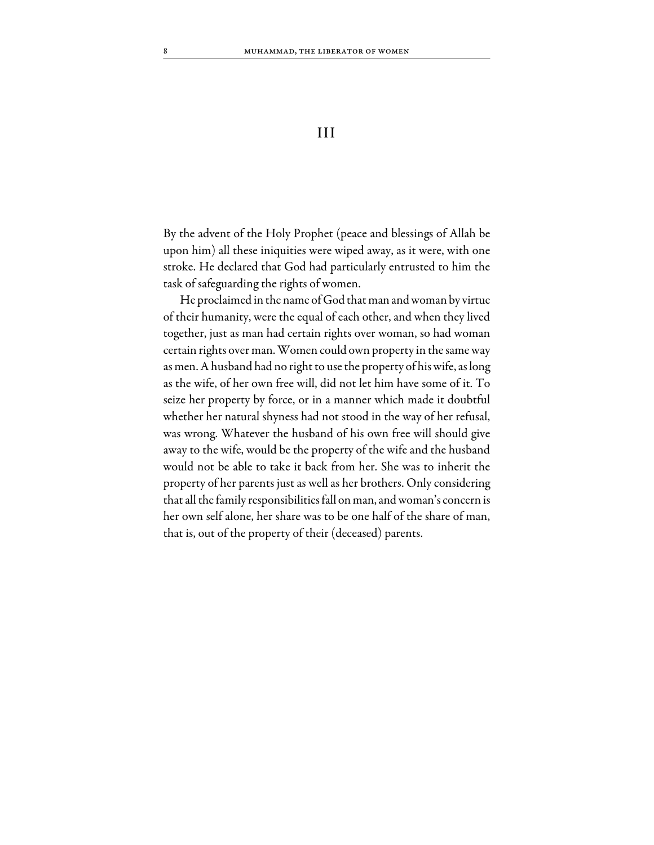## III

By the advent of the Holy Prophet (peace and blessings of Allah be upon him) all these iniquities were wiped away, as it were, with one stroke. He declared that God had particularly entrusted to him the task of safeguarding the rights of women.

He proclaimed in the name of God that man and woman by virtue of their humanity, were the equal of each other, and when they lived together, just as man had certain rights over woman, so had woman certain rights over man. Women could own property in the same way as men. A husband had no right to use the property of his wife, as long as the wife, of her own free will, did not let him have some of it. To seize her property by force, or in a manner which made it doubtful whether her natural shyness had not stood in the way of her refusal, was wrong. Whatever the husband of his own free will should give away to the wife, would be the property of the wife and the husband would not be able to take it back from her. She was to inherit the property of her parents just as well as her brothers. Only considering that all the family responsibilities fall on man, and woman's concern is her own self alone, her share was to be one half of the share of man, that is, out of the property of their (deceased) parents.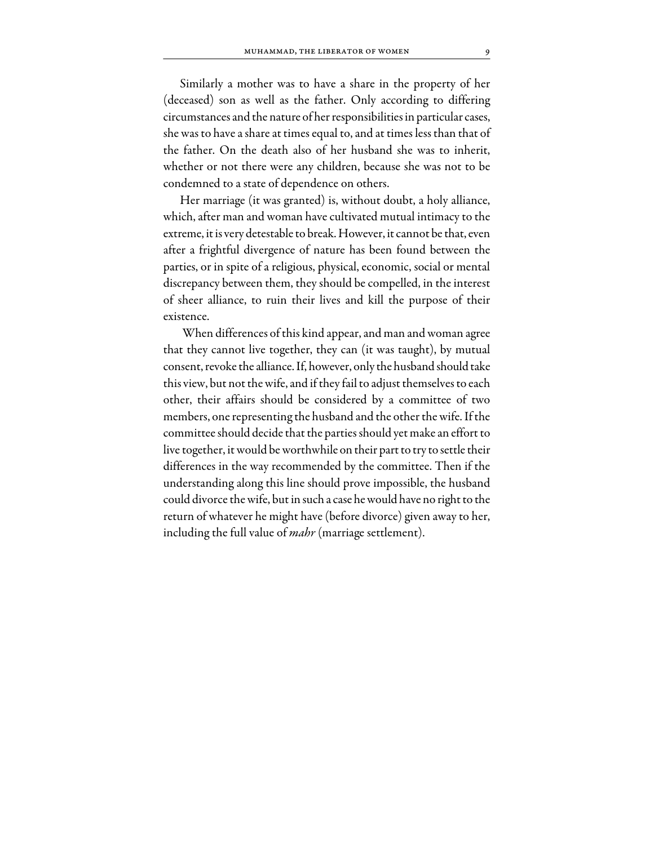Similarly a mother was to have a share in the property of her (deceased) son as well as the father. Only according to differing circumstances and the nature of her responsibilities in particular cases, she was to have a share at times equal to, and at times less than that of the father. On the death also of her husband she was to inherit, whether or not there were any children, because she was not to be condemned to a state of dependence on others.

Her marriage (it was granted) is, without doubt, a holy alliance, which, after man and woman have cultivated mutual intimacy to the extreme, it is very detestable to break. However, it cannot be that, even after a frightful divergence of nature has been found between the parties, or in spite of a religious, physical, economic, social or mental discrepancy between them, they should be compelled, in the interest of sheer alliance, to ruin their lives and kill the purpose of their existence.

 When differences of this kind appear, and man and woman agree that they cannot live together, they can (it was taught), by mutual consent, revoke the alliance. If, however, only the husband should take this view, but not the wife, and if they fail to adjust themselves to each other, their affairs should be considered by a committee of two members, one representing the husband and the other the wife. If the committee should decide that the parties should yet make an effort to live together, it would be worthwhile on their part to try to settle their differences in the way recommended by the committee. Then if the understanding along this line should prove impossible, the husband could divorce the wife, but in such a case he would have no right to the return of whatever he might have (before divorce) given away to her, including the full value of *mahr* (marriage settlement).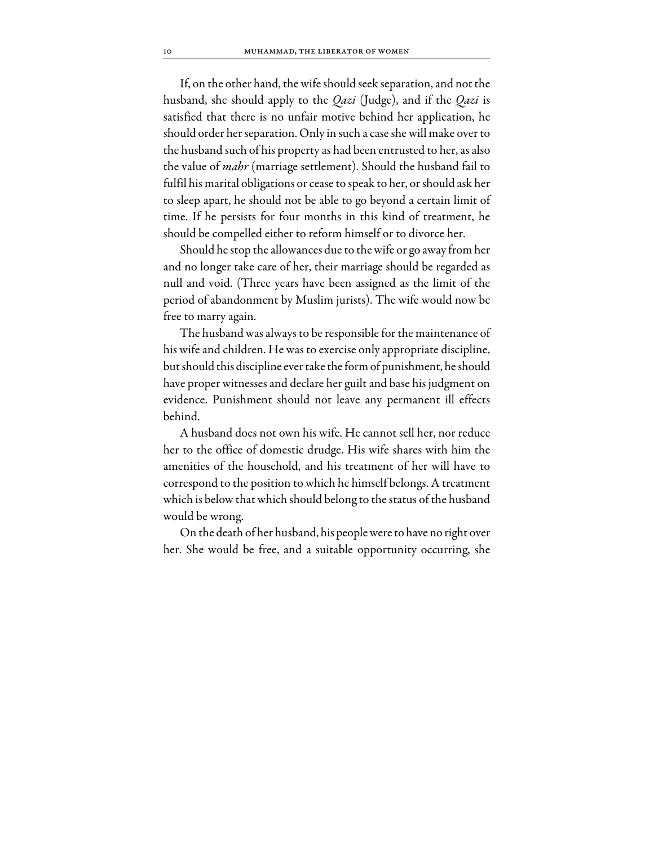If, on the other hand, the wife should seek separation, and not the husband, she should apply to the *Qazi* (Judge), and if the *Qazi* is satisfied that there is no unfair motive behind her application, he should order her separation. Only in such a case she will make over to the husband such of his property as had been entrusted to her, as also the value of *mahr* (marriage settlement). Should the husband fail to fulfil his marital obligations or cease to speak to her, or should ask her to sleep apart, he should not be able to go beyond a certain limit of time. If he persists for four months in this kind of treatment, he should be compelled either to reform himself or to divorce her.

Should he stop the allowances due to the wife or go away from her and no longer take care of her, their marriage should be regarded as null and void. (Three years have been assigned as the limit of the period of abandonment by Muslim jurists). The wife would now be free to marry again.

The husband was always to be responsible for the maintenance of his wife and children. He was to exercise only appropriate discipline, but should this discipline ever take the form of punishment, he should have proper witnesses and declare her guilt and base his judgment on evidence. Punishment should not leave any permanent ill effects behind.

A husband does not own his wife. He cannot sell her, nor reduce her to the office of domestic drudge. His wife shares with him the amenities of the household, and his treatment of her will have to correspond to the position to which he himself belongs. A treatment which is below that which should belong to the status of the husband would be wrong.

On the death of her husband, his people were to have no right over her. She would be free, and a suitable opportunity occurring, she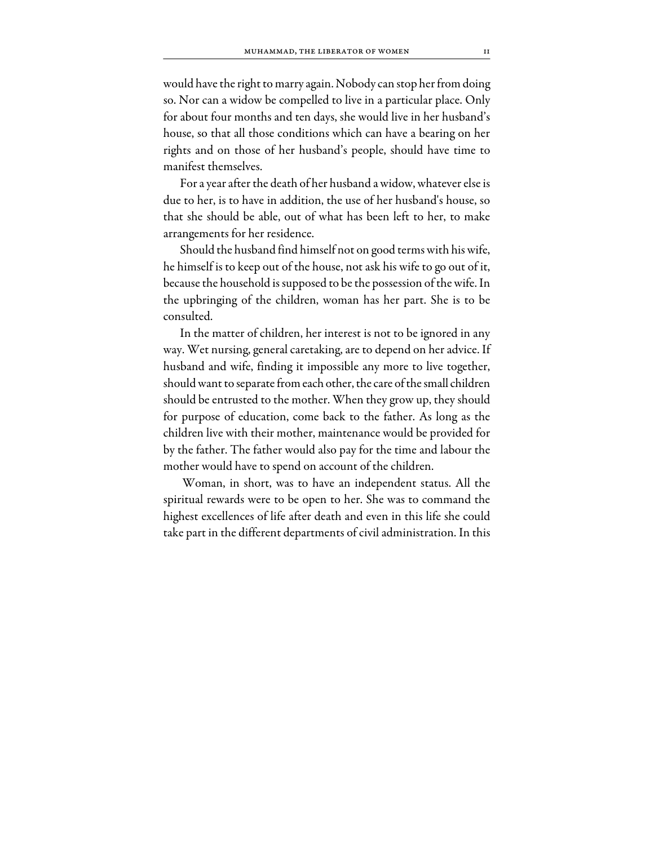would have the right to marry again. Nobody can stop her from doing so. Nor can a widow be compelled to live in a particular place. Only for about four months and ten days, she would live in her husband's house, so that all those conditions which can have a bearing on her rights and on those of her husband's people, should have time to manifest themselves.

For a year after the death of her husband a widow, whatever else is due to her, is to have in addition, the use of her husband's house, so that she should be able, out of what has been left to her, to make arrangements for her residence.

Should the husband find himself not on good terms with his wife, he himself is to keep out of the house, not ask his wife to go out of it, because the household is supposed to be the possession of the wife. In the upbringing of the children, woman has her part. She is to be consulted.

In the matter of children, her interest is not to be ignored in any way. Wet nursing, general caretaking, are to depend on her advice. If husband and wife, finding it impossible any more to live together, should want to separate from each other, the care of the small children should be entrusted to the mother. When they grow up, they should for purpose of education, come back to the father. As long as the children live with their mother, maintenance would be provided for by the father. The father would also pay for the time and labour the mother would have to spend on account of the children.

 Woman, in short, was to have an independent status. All the spiritual rewards were to be open to her. She was to command the highest excellences of life after death and even in this life she could take part in the different departments of civil administration. In this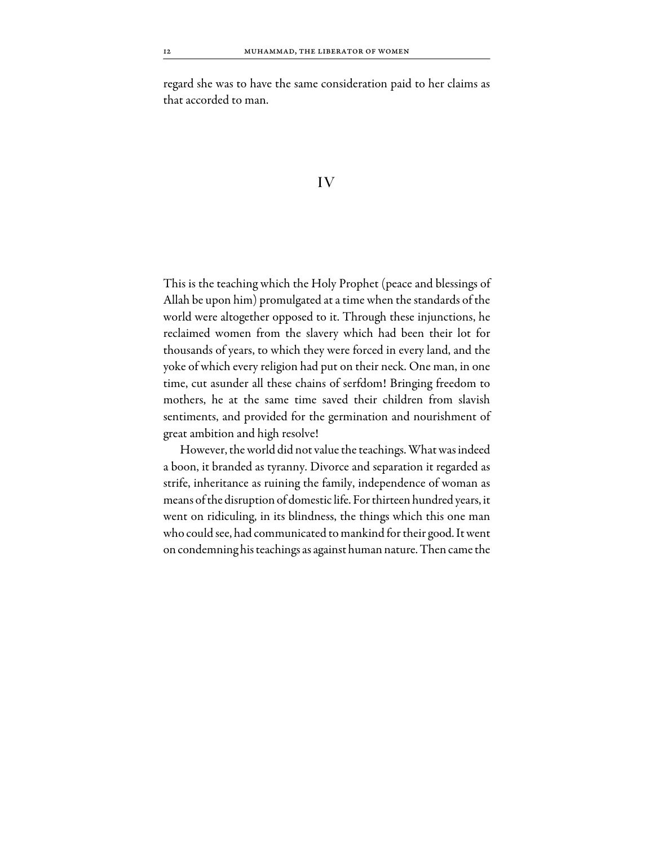regard she was to have the same consideration paid to her claims as that accorded to man.

#### IV

This is the teaching which the Holy Prophet (peace and blessings of Allah be upon him) promulgated at a time when the standards of the world were altogether opposed to it. Through these injunctions, he reclaimed women from the slavery which had been their lot for thousands of years, to which they were forced in every land, and the yoke of which every religion had put on their neck. One man, in one time, cut asunder all these chains of serfdom! Bringing freedom to mothers, he at the same time saved their children from slavish sentiments, and provided for the germination and nourishment of great ambition and high resolve!

However, the world did not value the teachings. What was indeed a boon, it branded as tyranny. Divorce and separation it regarded as strife, inheritance as ruining the family, independence of woman as means of the disruption of domestic life. For thirteen hundred years, it went on ridiculing, in its blindness, the things which this one man who could see, had communicated to mankind for their good. It went on condemning his teachings as against human nature. Then came the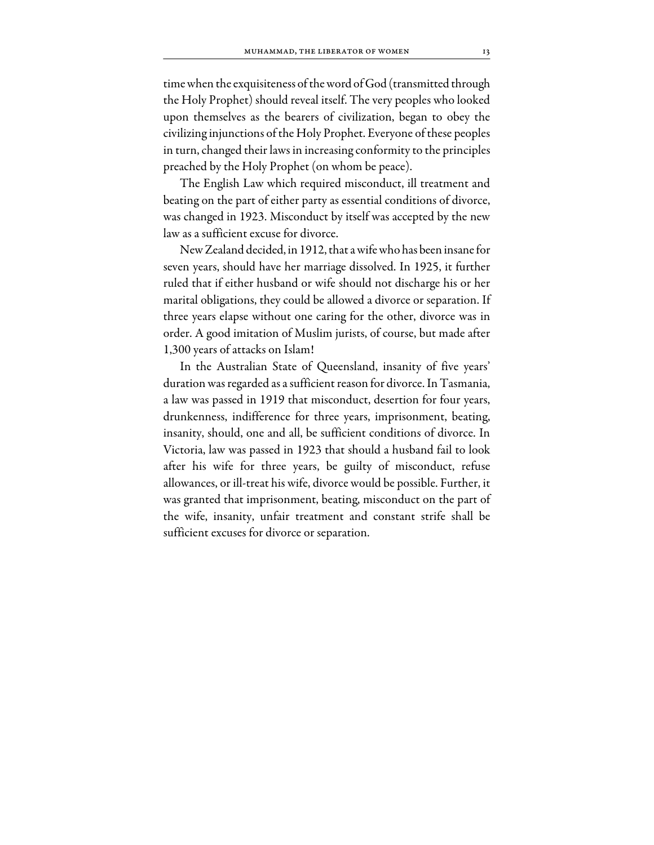time when the exquisiteness of the word of God (transmitted through the Holy Prophet) should reveal itself. The very peoples who looked upon themselves as the bearers of civilization, began to obey the civilizing injunctions of the Holy Prophet. Everyone of these peoples in turn, changed their laws in increasing conformity to the principles preached by the Holy Prophet (on whom be peace).

The English Law which required misconduct, ill treatment and beating on the part of either party as essential conditions of divorce, was changed in 1923. Misconduct by itself was accepted by the new law as a sufficient excuse for divorce.

New Zealand decided, in 1912, that a wife who has been insane for seven years, should have her marriage dissolved. In 1925, it further ruled that if either husband or wife should not discharge his or her marital obligations, they could be allowed a divorce or separation. If three years elapse without one caring for the other, divorce was in order. A good imitation of Muslim jurists, of course, but made after 1,300 years of attacks on Islam!

In the Australian State of Queensland, insanity of five years' duration was regarded as a sufficient reason for divorce. In Tasmania, a law was passed in 1919 that misconduct, desertion for four years, drunkenness, indifference for three years, imprisonment, beating, insanity, should, one and all, be sufficient conditions of divorce. In Victoria, law was passed in 1923 that should a husband fail to look after his wife for three years, be guilty of misconduct, refuse allowances, or ill-treat his wife, divorce would be possible. Further, it was granted that imprisonment, beating, misconduct on the part of the wife, insanity, unfair treatment and constant strife shall be sufficient excuses for divorce or separation.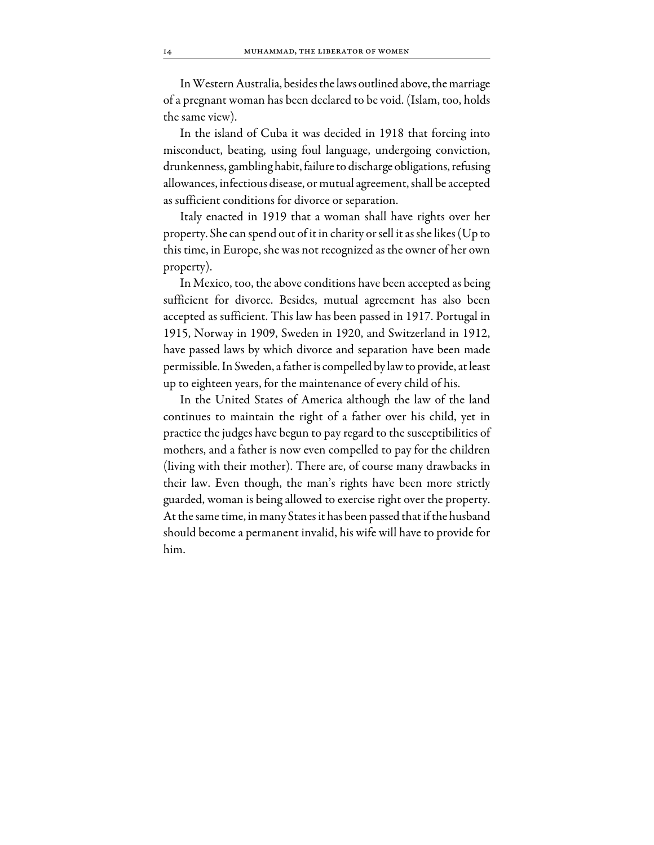In Western Australia, besides the laws outlined above, the marriage of a pregnant woman has been declared to be void. (Islam, too, holds the same view).

In the island of Cuba it was decided in 1918 that forcing into misconduct, beating, using foul language, undergoing conviction, drunkenness, gambling habit, failure to discharge obligations, refusing allowances, infectious disease, or mutual agreement, shall be accepted as sufficient conditions for divorce or separation.

Italy enacted in 1919 that a woman shall have rights over her property. She can spend out of it in charity or sell it as she likes (Up to this time, in Europe, she was not recognized as the owner of her own property).

In Mexico, too, the above conditions have been accepted as being sufficient for divorce. Besides, mutual agreement has also been accepted as sufficient. This law has been passed in 1917. Portugal in 1915, Norway in 1909, Sweden in 1920, and Switzerland in 1912, have passed laws by which divorce and separation have been made permissible. In Sweden, a father is compelled by law to provide, at least up to eighteen years, for the maintenance of every child of his.

In the United States of America although the law of the land continues to maintain the right of a father over his child, yet in practice the judges have begun to pay regard to the susceptibilities of mothers, and a father is now even compelled to pay for the children (living with their mother). There are, of course many drawbacks in their law. Even though, the man's rights have been more strictly guarded, woman is being allowed to exercise right over the property. At the same time, in many States it has been passed that if the husband should become a permanent invalid, his wife will have to provide for him.